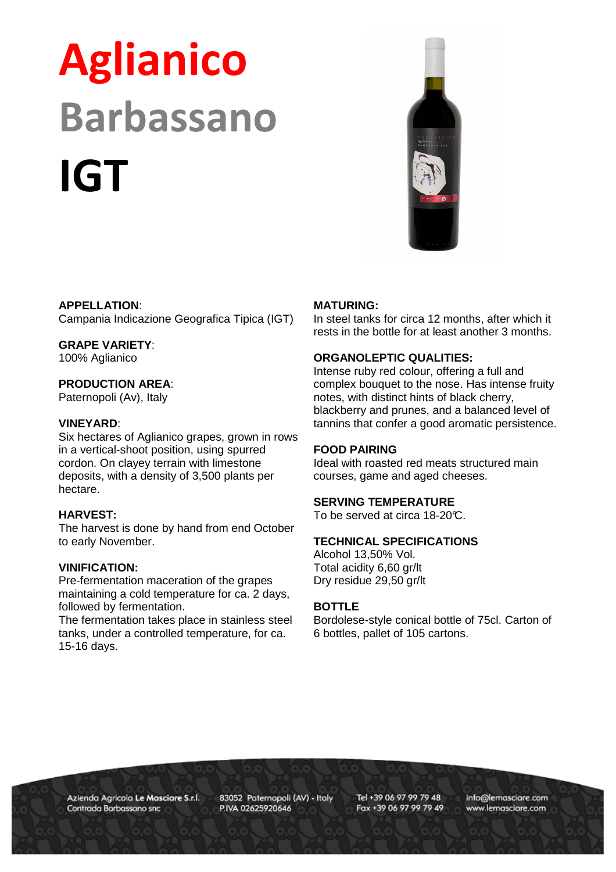# Aglianico Barbassano IGT



## **APPELLATION**:

Campania Indicazione Geografica Tipica (IGT)

# **GRAPE VARIETY**:

100% Aglianico

# **PRODUCTION AREA**:

Paternopoli (Av), Italy

#### **VINEYARD**:

Six hectares of Aglianico grapes, grown in rows in a vertical-shoot position, using spurred cordon. On clayey terrain with limestone deposits, with a density of 3,500 plants per hectare.

## **HARVEST:**

The harvest is done by hand from end October to early November.

## **VINIFICATION:**

Pre-fermentation maceration of the grapes maintaining a cold temperature for ca. 2 days, followed by fermentation.

The fermentation takes place in stainless steel tanks, under a controlled temperature, for ca. 15-16 days.

#### **MATURING:**

In steel tanks for circa 12 months, after which it rests in the bottle for at least another 3 months.

## **ORGANOLEPTIC QUALITIES:**

Intense ruby red colour, offering a full and complex bouquet to the nose. Has intense fruity notes, with distinct hints of black cherry, blackberry and prunes, and a balanced level of tannins that confer a good aromatic persistence.

### **FOOD PAIRING**

Ideal with roasted red meats structured main courses, game and aged cheeses.

#### **SERVING TEMPERATURE**

To be served at circa 18-20°C.

## **TECHNICAL SPECIFICATIONS**

Alcohol 13,50% Vol. Total acidity 6,60 gr/lt Dry residue 29,50 gr/lt

#### **BOTTLE**

Bordolese-style conical bottle of 75cl. Carton of 6 bottles, pallet of 105 cartons.

Azienda Agricola Le Masciare S.r.l. Contrada Barbassano snc

83052 Paternopoli (AV) - Italy P.IVA 02625920646

Tel +39 06 97 99 79 48 Fax +39 06 97 99 79 49 info@lemasciare.com www.lemasciare.com